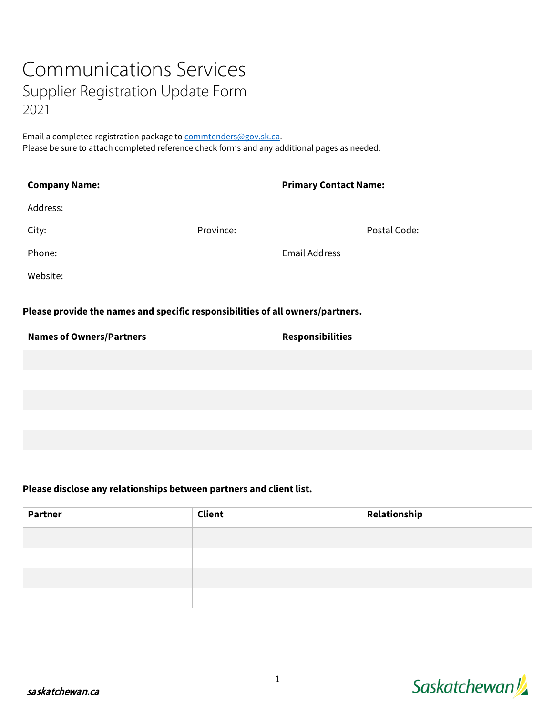# Communications Services Supplier Registration Update Form 2021

Email a completed registration package to commtenders@gov.sk.ca. Please be sure to attach completed reference check forms and any additional pages as needed.

| <b>Primary Contact Name:</b><br><b>Company Name:</b> |           |                      |              |
|------------------------------------------------------|-----------|----------------------|--------------|
| Address:                                             |           |                      |              |
| City:                                                | Province: |                      | Postal Code: |
| Phone:                                               |           | <b>Email Address</b> |              |
| Website:                                             |           |                      |              |

## **Please provide the names and specific responsibilities of all owners/partners.**

| <b>Names of Owners/Partners</b> | <b>Responsibilities</b> |
|---------------------------------|-------------------------|
|                                 |                         |
|                                 |                         |
|                                 |                         |
|                                 |                         |
|                                 |                         |
|                                 |                         |

#### **Please disclose any relationships between partners and client list.**

| <b>Partner</b> | <b>Client</b> | Relationship |
|----------------|---------------|--------------|
|                |               |              |
|                |               |              |
|                |               |              |
|                |               |              |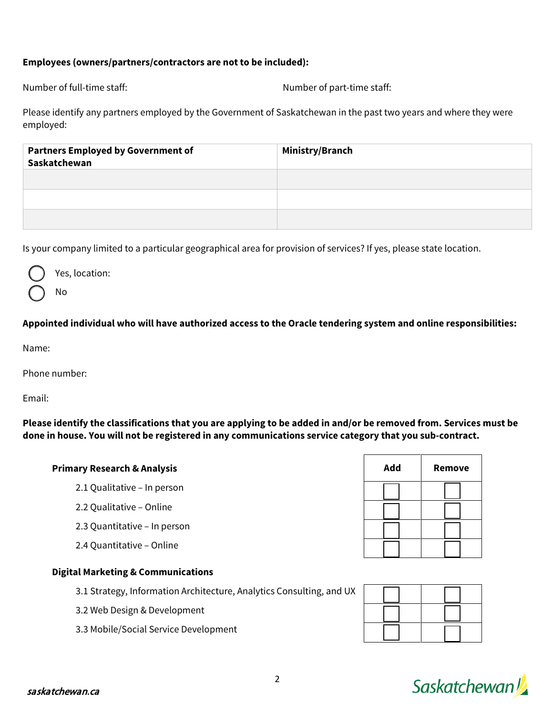## **Employees (owners/partners/contractors are not to be included):**

Number of full-time staff: Number of part-time staff:

Please identify any partners employed by the Government of Saskatchewan in the past two years and where they were employed:

| <b>Partners Employed by Government of</b><br>Saskatchewan | Ministry/Branch |
|-----------------------------------------------------------|-----------------|
|                                                           |                 |
|                                                           |                 |
|                                                           |                 |

Is your company limited to a particular geographical area for provision of services? If yes, please state location.



Yes, location:

No

# **Appointed individual who will have authorized access to the Oracle tendering system and online responsibilities:**

Name:

Phone number:

Email:

**Please identify the classifications that you are applying to be added in and/or be removed from. Services must be done in house. You will not be registered in any communications service category that you sub-contract.**

## **Primary Research & Analysis**

- 2.1 Qualitative In person
- 2.2 Qualitative Online
- 2.3 Quantitative In person
- 2.4 Quantitative Online

# **Digital Marketing & Communications**

3.1 Strategy, Information Architecture, Analytics Consulting, and UX

3.2 Web Design & Development

3.3 Mobile/Social Service Development

| Add | <b>Remove</b> |
|-----|---------------|
|     |               |
|     |               |
|     |               |
|     |               |

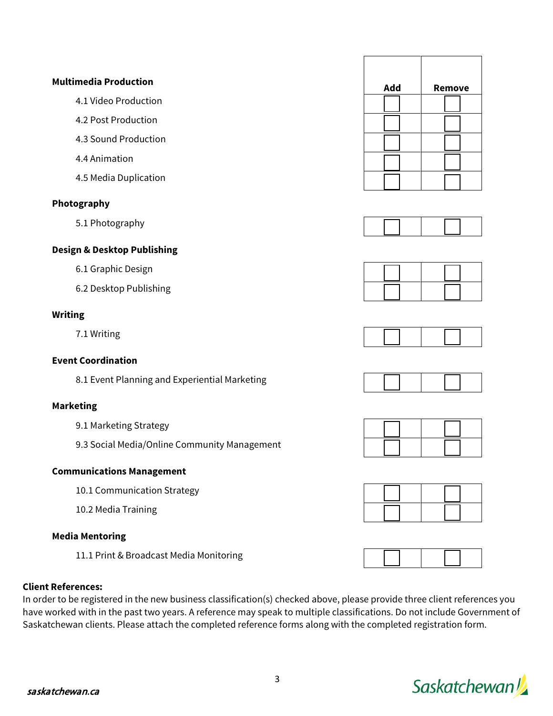



In order to be registered in the new business classification(s) checked above, please provide three client references you have worked with in the past two years. A reference may speak to multiple classifications. Do not include Government of Saskatchewan clients. Please attach the completed reference forms along with the completed registration form.